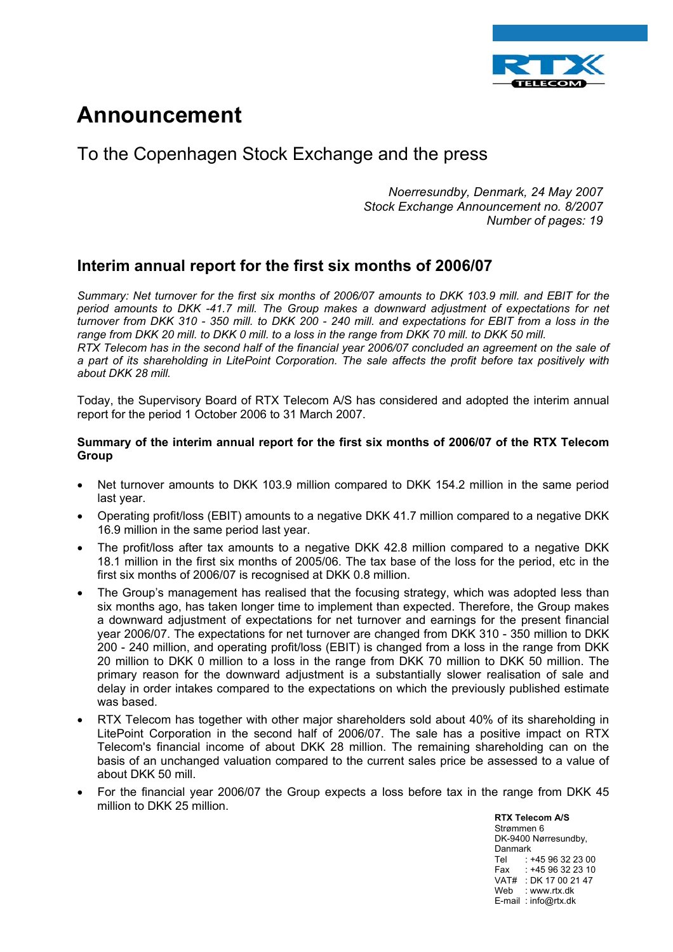

# **Announcement**

# To the Copenhagen Stock Exchange and the press

*Noerresundby, Denmark, 24 May 2007 Stock Exchange Announcement no. 8/2007 Number of pages: 19*

# **Interim annual report for the first six months of 2006/07**

*Summary: Net turnover for the first six months of 2006/07 amounts to DKK 103.9 mill. and EBIT for the period amounts to DKK -41.7 mill. The Group makes a downward adjustment of expectations for net turnover from DKK 310 - 350 mill. to DKK 200 - 240 mill. and expectations for EBIT from a loss in the*  range from DKK 20 mill. to DKK 0 mill. to a loss in the range from DKK 70 mill. to DKK 50 mill. *RTX Telecom has in the second half of the financial year 2006/07 concluded an agreement on the sale of a part of its shareholding in LitePoint Corporation. The sale affects the profit before tax positively with about DKK 28 mill.* 

Today, the Supervisory Board of RTX Telecom A/S has considered and adopted the interim annual report for the period 1 October 2006 to 31 March 2007.

#### **Summary of the interim annual report for the first six months of 2006/07 of the RTX Telecom Group**

- Net turnover amounts to DKK 103.9 million compared to DKK 154.2 million in the same period last year.
- Operating profit/loss (EBIT) amounts to a negative DKK 41.7 million compared to a negative DKK 16.9 million in the same period last year.
- The profit/loss after tax amounts to a negative DKK 42.8 million compared to a negative DKK 18.1 million in the first six months of 2005/06. The tax base of the loss for the period, etc in the first six months of 2006/07 is recognised at DKK 0.8 million.
- The Group's management has realised that the focusing strategy, which was adopted less than six months ago, has taken longer time to implement than expected. Therefore, the Group makes a downward adjustment of expectations for net turnover and earnings for the present financial year 2006/07. The expectations for net turnover are changed from DKK 310 - 350 million to DKK 200 - 240 million, and operating profit/loss (EBIT) is changed from a loss in the range from DKK 20 million to DKK 0 million to a loss in the range from DKK 70 million to DKK 50 million. The primary reason for the downward adjustment is a substantially slower realisation of sale and delay in order intakes compared to the expectations on which the previously published estimate was based.
- RTX Telecom has together with other major shareholders sold about 40% of its shareholding in LitePoint Corporation in the second half of 2006/07. The sale has a positive impact on RTX Telecom's financial income of about DKK 28 million. The remaining shareholding can on the basis of an unchanged valuation compared to the current sales price be assessed to a value of about DKK 50 mill.
- For the financial year 2006/07 the Group expects a loss before tax in the range from DKK 45 million to DKK 25 million.

**RTX Telecom A/S** Strømmen 6 DK-9400 Nørresundby, Danmark Tel : +45 96 32 23 00 Fax : +45 96 32 23 10 VAT# : DK 17 00 21 47 Web : www.rtx.dk E-mail : info@rtx.dk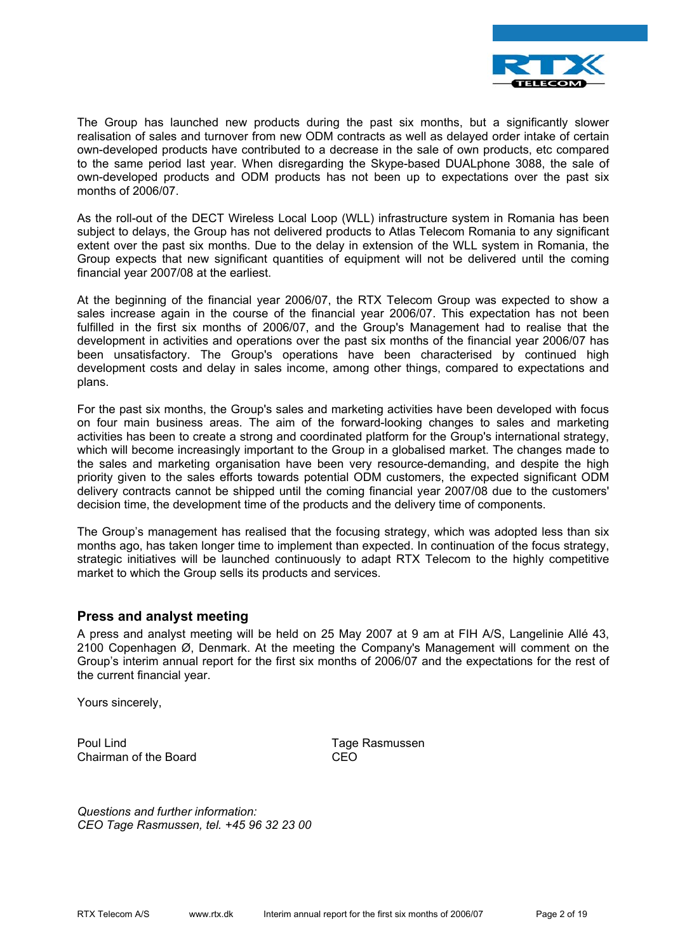

The Group has launched new products during the past six months, but a significantly slower realisation of sales and turnover from new ODM contracts as well as delayed order intake of certain own-developed products have contributed to a decrease in the sale of own products, etc compared to the same period last year. When disregarding the Skype-based DUALphone 3088, the sale of own-developed products and ODM products has not been up to expectations over the past six months of 2006/07.

As the roll-out of the DECT Wireless Local Loop (WLL) infrastructure system in Romania has been subject to delays, the Group has not delivered products to Atlas Telecom Romania to any significant extent over the past six months. Due to the delay in extension of the WLL system in Romania, the Group expects that new significant quantities of equipment will not be delivered until the coming financial year 2007/08 at the earliest.

At the beginning of the financial year 2006/07, the RTX Telecom Group was expected to show a sales increase again in the course of the financial year 2006/07. This expectation has not been fulfilled in the first six months of 2006/07, and the Group's Management had to realise that the development in activities and operations over the past six months of the financial year 2006/07 has been unsatisfactory. The Group's operations have been characterised by continued high development costs and delay in sales income, among other things, compared to expectations and plans.

For the past six months, the Group's sales and marketing activities have been developed with focus on four main business areas. The aim of the forward-looking changes to sales and marketing activities has been to create a strong and coordinated platform for the Group's international strategy, which will become increasingly important to the Group in a globalised market. The changes made to the sales and marketing organisation have been very resource-demanding, and despite the high priority given to the sales efforts towards potential ODM customers, the expected significant ODM delivery contracts cannot be shipped until the coming financial year 2007/08 due to the customers' decision time, the development time of the products and the delivery time of components.

The Group's management has realised that the focusing strategy, which was adopted less than six months ago, has taken longer time to implement than expected. In continuation of the focus strategy, strategic initiatives will be launched continuously to adapt RTX Telecom to the highly competitive market to which the Group sells its products and services.

#### **Press and analyst meeting**

A press and analyst meeting will be held on 25 May 2007 at 9 am at FIH A/S, Langelinie Allé 43, 2100 Copenhagen Ø, Denmark. At the meeting the Company's Management will comment on the Group's interim annual report for the first six months of 2006/07 and the expectations for the rest of the current financial year.

Yours sincerely,

Poul Lind Tage Rasmussen Chairman of the Board CEO

*Questions and further information: CEO Tage Rasmussen, tel. +45 96 32 23 00*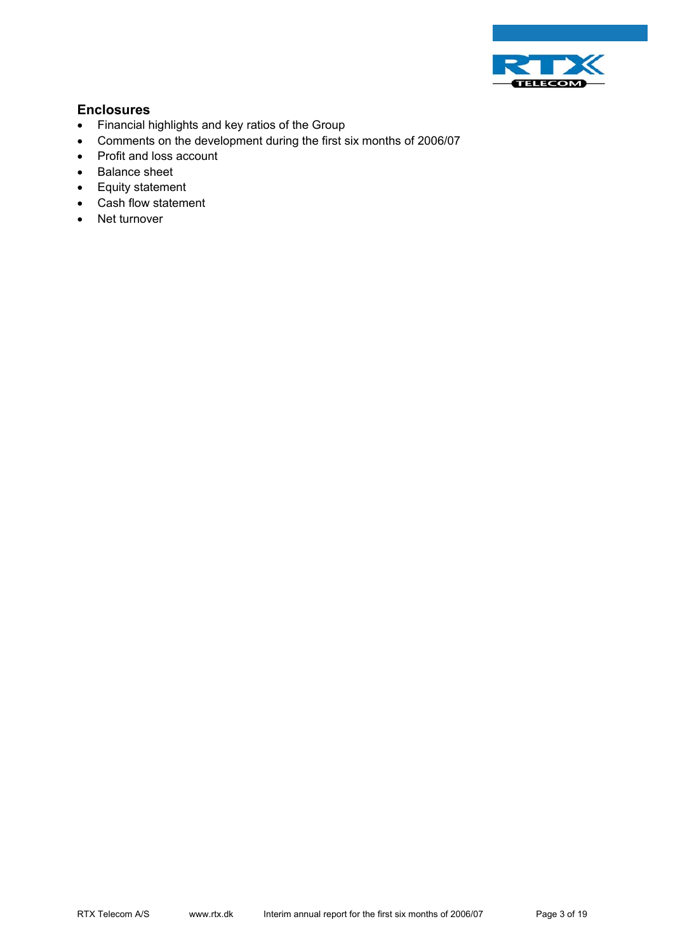

### **Enclosures**

- Financial highlights and key ratios of the Group
- Comments on the development during the first six months of 2006/07
- Profit and loss account
- Balance sheet
- Equity statement
- Cash flow statement
- Net turnover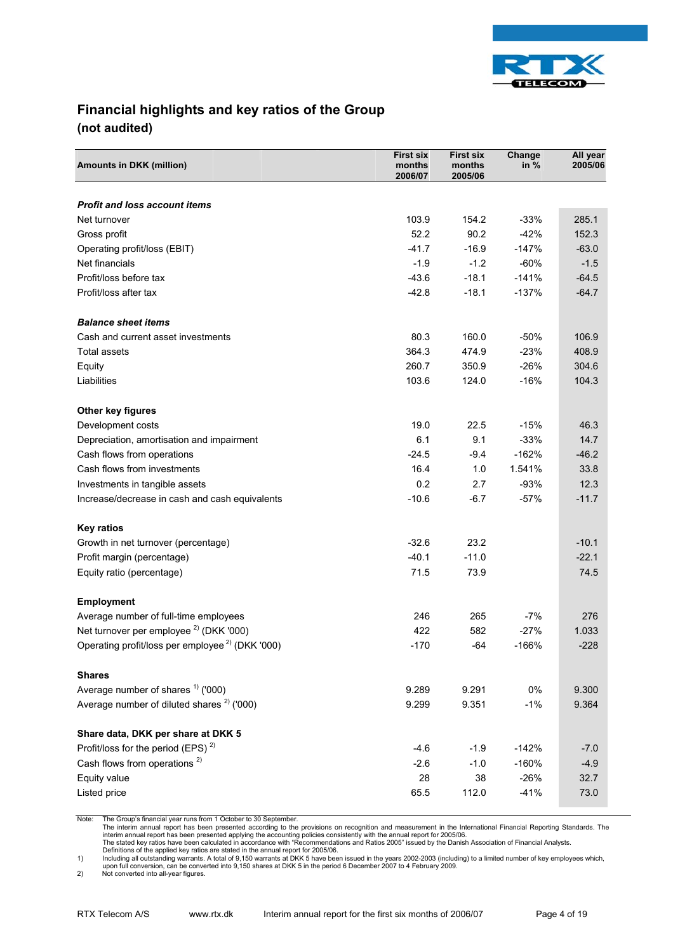

# **Financial highlights and key ratios of the Group (not audited)**

| <b>Amounts in DKK (million)</b>                             | <b>First six</b><br>months<br>2006/07 | <b>First six</b><br>months<br>2005/06 | Change<br>in $%$ | All year<br>2005/06 |
|-------------------------------------------------------------|---------------------------------------|---------------------------------------|------------------|---------------------|
| <b>Profit and loss account items</b>                        |                                       |                                       |                  |                     |
| Net turnover                                                | 103.9                                 | 154.2                                 | $-33%$           | 285.1               |
| Gross profit                                                | 52.2                                  | 90.2                                  | $-42%$           | 152.3               |
| Operating profit/loss (EBIT)                                | $-41.7$                               | $-16.9$                               | $-147%$          | $-63.0$             |
| Net financials                                              | $-1.9$                                | $-1.2$                                | $-60%$           | $-1.5$              |
| Profit/loss before tax                                      | $-43.6$                               | $-18.1$                               | $-141%$          | $-64.5$             |
| Profit/loss after tax                                       | $-42.8$                               | $-18.1$                               | $-137%$          | $-64.7$             |
|                                                             |                                       |                                       |                  |                     |
| <b>Balance sheet items</b>                                  |                                       |                                       |                  |                     |
| Cash and current asset investments                          | 80.3                                  | 160.0                                 | $-50%$           | 106.9               |
| Total assets                                                | 364.3                                 | 474.9                                 | $-23%$           | 408.9               |
| Equity                                                      | 260.7                                 | 350.9                                 | $-26%$           | 304.6               |
| Liabilities                                                 | 103.6                                 | 124.0                                 | $-16%$           | 104.3               |
| Other key figures                                           |                                       |                                       |                  |                     |
| Development costs                                           | 19.0                                  | 22.5                                  | $-15%$           | 46.3                |
| Depreciation, amortisation and impairment                   | 6.1                                   | 9.1                                   | $-33%$           | 14.7                |
| Cash flows from operations                                  | $-24.5$                               | $-9.4$                                | $-162%$          | $-46.2$             |
| Cash flows from investments                                 | 16.4                                  | 1.0                                   | 1.541%           | 33.8                |
| Investments in tangible assets                              | 0.2                                   | 2.7                                   | $-93%$           | 12.3                |
| Increase/decrease in cash and cash equivalents              | $-10.6$                               | $-6.7$                                | $-57%$           | $-11.7$             |
| <b>Key ratios</b>                                           |                                       |                                       |                  |                     |
| Growth in net turnover (percentage)                         | $-32.6$                               | 23.2                                  |                  | $-10.1$             |
| Profit margin (percentage)                                  | $-40.1$                               | $-11.0$                               |                  | $-22.1$             |
| Equity ratio (percentage)                                   | 71.5                                  | 73.9                                  |                  | 74.5                |
|                                                             |                                       |                                       |                  |                     |
| <b>Employment</b><br>Average number of full-time employees  | 246                                   | 265                                   | $-7%$            | 276                 |
| Net turnover per employee <sup>2)</sup> (DKK '000)          | 422                                   | 582                                   | $-27%$           | 1.033               |
| Operating profit/loss per employee <sup>2)</sup> (DKK '000) | $-170$                                | $-64$                                 | $-166%$          | $-228$              |
|                                                             |                                       |                                       |                  |                     |
| <b>Shares</b>                                               |                                       |                                       |                  |                     |
| Average number of shares $1$ ('000)                         | 9.289                                 | 9.291                                 | 0%               | 9.300               |
| Average number of diluted shares <sup>2</sup> ('000)        | 9.299                                 | 9.351                                 | $-1%$            | 9.364               |
| Share data, DKK per share at DKK 5                          |                                       |                                       |                  |                     |
| Profit/loss for the period (EPS) $^{2}$ )                   | $-4.6$                                | $-1.9$                                | $-142%$          | $-7.0$              |
| Cash flows from operations <sup>2)</sup>                    | $-2.6$                                | $-1.0$                                | $-160%$          | $-4.9$              |
| Equity value                                                | 28                                    | 38                                    | $-26%$           | 32.7                |
| Listed price                                                | 65.5                                  | 112.0                                 | $-41%$           | 73.0                |

Note: The Group's financial year runs from 1 October to 30 September.

The interim annual report has been presented according to the provisions on recognition and measurement in the International Financial Reporting Standards. The<br>interim annual report has been presented applying the accounti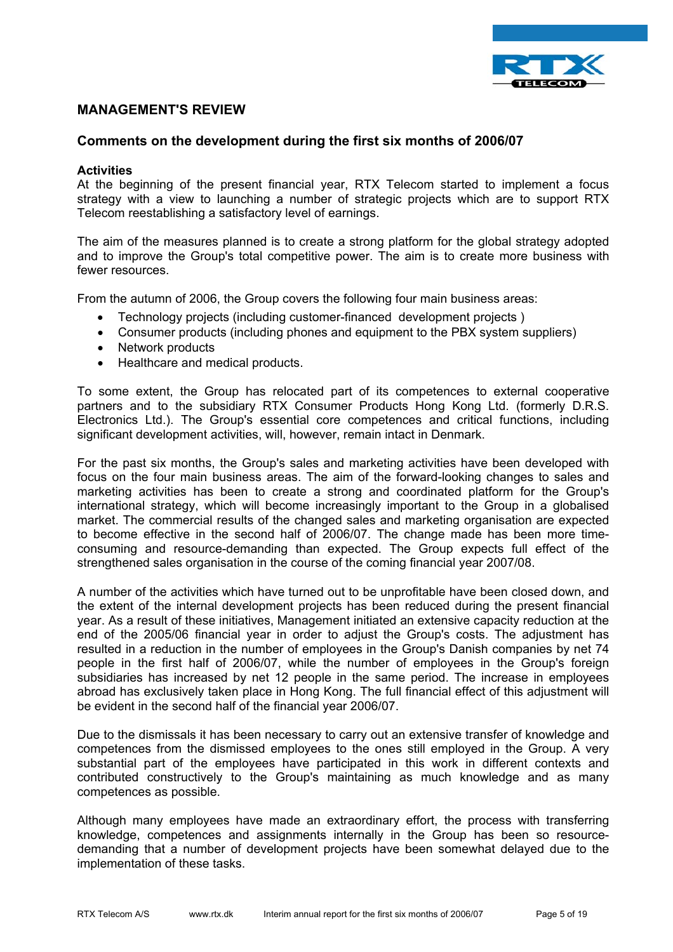

#### **MANAGEMENT'S REVIEW**

#### **Comments on the development during the first six months of 2006/07**

#### **Activities**

At the beginning of the present financial year, RTX Telecom started to implement a focus strategy with a view to launching a number of strategic projects which are to support RTX Telecom reestablishing a satisfactory level of earnings.

The aim of the measures planned is to create a strong platform for the global strategy adopted and to improve the Group's total competitive power. The aim is to create more business with fewer resources.

From the autumn of 2006, the Group covers the following four main business areas:

- Technology projects (including customer-financed development projects )
- Consumer products (including phones and equipment to the PBX system suppliers)
- Network products
- Healthcare and medical products.

To some extent, the Group has relocated part of its competences to external cooperative partners and to the subsidiary RTX Consumer Products Hong Kong Ltd. (formerly D.R.S. Electronics Ltd.). The Group's essential core competences and critical functions, including significant development activities, will, however, remain intact in Denmark.

For the past six months, the Group's sales and marketing activities have been developed with focus on the four main business areas. The aim of the forward-looking changes to sales and marketing activities has been to create a strong and coordinated platform for the Group's international strategy, which will become increasingly important to the Group in a globalised market. The commercial results of the changed sales and marketing organisation are expected to become effective in the second half of 2006/07. The change made has been more timeconsuming and resource-demanding than expected. The Group expects full effect of the strengthened sales organisation in the course of the coming financial year 2007/08.

A number of the activities which have turned out to be unprofitable have been closed down, and the extent of the internal development projects has been reduced during the present financial year. As a result of these initiatives, Management initiated an extensive capacity reduction at the end of the 2005/06 financial year in order to adjust the Group's costs. The adjustment has resulted in a reduction in the number of employees in the Group's Danish companies by net 74 people in the first half of 2006/07, while the number of employees in the Group's foreign subsidiaries has increased by net 12 people in the same period. The increase in employees abroad has exclusively taken place in Hong Kong. The full financial effect of this adjustment will be evident in the second half of the financial year 2006/07.

Due to the dismissals it has been necessary to carry out an extensive transfer of knowledge and competences from the dismissed employees to the ones still employed in the Group. A very substantial part of the employees have participated in this work in different contexts and contributed constructively to the Group's maintaining as much knowledge and as many competences as possible.

Although many employees have made an extraordinary effort, the process with transferring knowledge, competences and assignments internally in the Group has been so resourcedemanding that a number of development projects have been somewhat delayed due to the implementation of these tasks.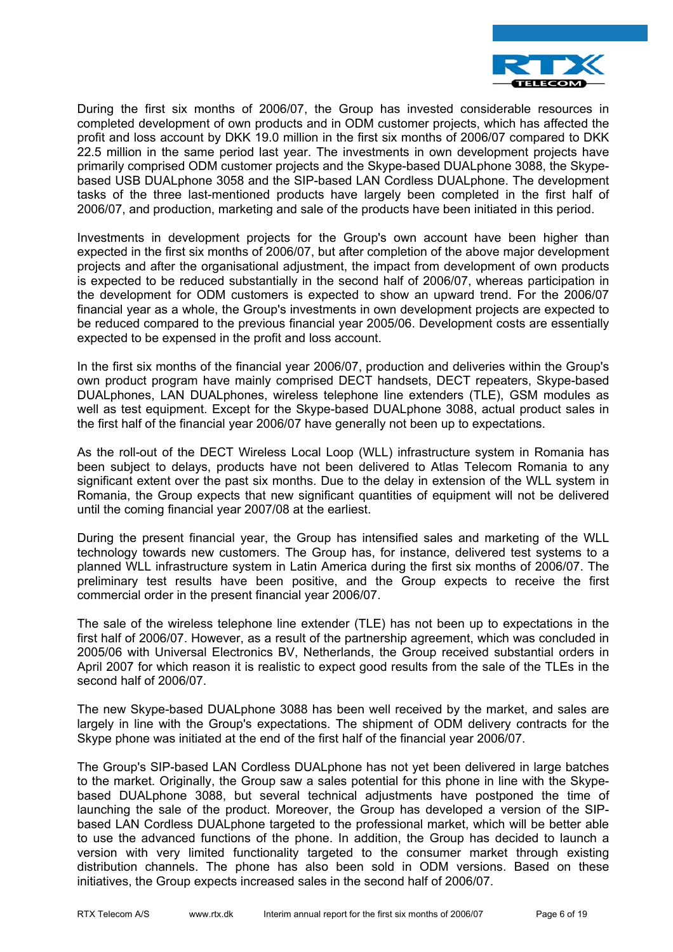

During the first six months of 2006/07, the Group has invested considerable resources in completed development of own products and in ODM customer projects, which has affected the profit and loss account by DKK 19.0 million in the first six months of 2006/07 compared to DKK 22.5 million in the same period last year. The investments in own development projects have primarily comprised ODM customer projects and the Skype-based DUALphone 3088, the Skypebased USB DUALphone 3058 and the SIP-based LAN Cordless DUALphone. The development tasks of the three last-mentioned products have largely been completed in the first half of 2006/07, and production, marketing and sale of the products have been initiated in this period.

Investments in development projects for the Group's own account have been higher than expected in the first six months of 2006/07, but after completion of the above major development projects and after the organisational adjustment, the impact from development of own products is expected to be reduced substantially in the second half of 2006/07, whereas participation in the development for ODM customers is expected to show an upward trend. For the 2006/07 financial year as a whole, the Group's investments in own development projects are expected to be reduced compared to the previous financial year 2005/06. Development costs are essentially expected to be expensed in the profit and loss account.

In the first six months of the financial year 2006/07, production and deliveries within the Group's own product program have mainly comprised DECT handsets, DECT repeaters, Skype-based DUALphones, LAN DUALphones, wireless telephone line extenders (TLE), GSM modules as well as test equipment. Except for the Skype-based DUALphone 3088, actual product sales in the first half of the financial year 2006/07 have generally not been up to expectations.

As the roll-out of the DECT Wireless Local Loop (WLL) infrastructure system in Romania has been subject to delays, products have not been delivered to Atlas Telecom Romania to any significant extent over the past six months. Due to the delay in extension of the WLL system in Romania, the Group expects that new significant quantities of equipment will not be delivered until the coming financial year 2007/08 at the earliest.

During the present financial year, the Group has intensified sales and marketing of the WLL technology towards new customers. The Group has, for instance, delivered test systems to a planned WLL infrastructure system in Latin America during the first six months of 2006/07. The preliminary test results have been positive, and the Group expects to receive the first commercial order in the present financial year 2006/07.

The sale of the wireless telephone line extender (TLE) has not been up to expectations in the first half of 2006/07. However, as a result of the partnership agreement, which was concluded in 2005/06 with Universal Electronics BV, Netherlands, the Group received substantial orders in April 2007 for which reason it is realistic to expect good results from the sale of the TLEs in the second half of 2006/07.

The new Skype-based DUALphone 3088 has been well received by the market, and sales are largely in line with the Group's expectations. The shipment of ODM delivery contracts for the Skype phone was initiated at the end of the first half of the financial year 2006/07.

The Group's SIP-based LAN Cordless DUALphone has not yet been delivered in large batches to the market. Originally, the Group saw a sales potential for this phone in line with the Skypebased DUALphone 3088, but several technical adjustments have postponed the time of launching the sale of the product. Moreover, the Group has developed a version of the SIPbased LAN Cordless DUALphone targeted to the professional market, which will be better able to use the advanced functions of the phone. In addition, the Group has decided to launch a version with very limited functionality targeted to the consumer market through existing distribution channels. The phone has also been sold in ODM versions. Based on these initiatives, the Group expects increased sales in the second half of 2006/07.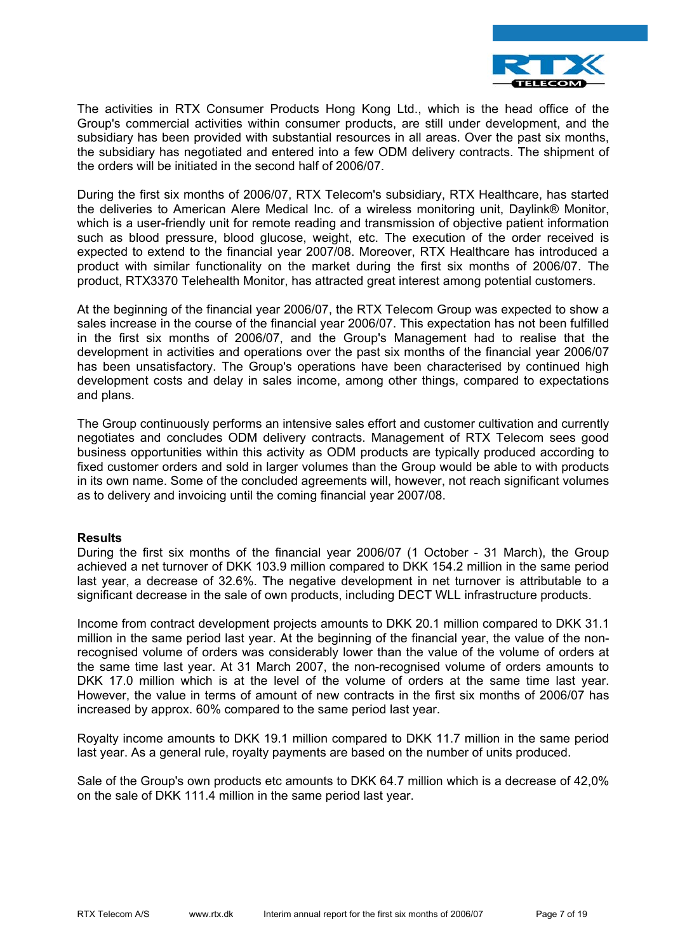

The activities in RTX Consumer Products Hong Kong Ltd., which is the head office of the Group's commercial activities within consumer products, are still under development, and the subsidiary has been provided with substantial resources in all areas. Over the past six months, the subsidiary has negotiated and entered into a few ODM delivery contracts. The shipment of the orders will be initiated in the second half of 2006/07.

During the first six months of 2006/07, RTX Telecom's subsidiary, RTX Healthcare, has started the deliveries to American Alere Medical Inc. of a wireless monitoring unit, Daylink® Monitor, which is a user-friendly unit for remote reading and transmission of objective patient information such as blood pressure, blood glucose, weight, etc. The execution of the order received is expected to extend to the financial year 2007/08. Moreover, RTX Healthcare has introduced a product with similar functionality on the market during the first six months of 2006/07. The product, RTX3370 Telehealth Monitor, has attracted great interest among potential customers.

At the beginning of the financial year 2006/07, the RTX Telecom Group was expected to show a sales increase in the course of the financial year 2006/07. This expectation has not been fulfilled in the first six months of 2006/07, and the Group's Management had to realise that the development in activities and operations over the past six months of the financial year 2006/07 has been unsatisfactory. The Group's operations have been characterised by continued high development costs and delay in sales income, among other things, compared to expectations and plans.

The Group continuously performs an intensive sales effort and customer cultivation and currently negotiates and concludes ODM delivery contracts. Management of RTX Telecom sees good business opportunities within this activity as ODM products are typically produced according to fixed customer orders and sold in larger volumes than the Group would be able to with products in its own name. Some of the concluded agreements will, however, not reach significant volumes as to delivery and invoicing until the coming financial year 2007/08.

#### **Results**

During the first six months of the financial year 2006/07 (1 October - 31 March), the Group achieved a net turnover of DKK 103.9 million compared to DKK 154.2 million in the same period last year, a decrease of 32.6%. The negative development in net turnover is attributable to a significant decrease in the sale of own products, including DECT WLL infrastructure products.

Income from contract development projects amounts to DKK 20.1 million compared to DKK 31.1 million in the same period last year. At the beginning of the financial year, the value of the nonrecognised volume of orders was considerably lower than the value of the volume of orders at the same time last year. At 31 March 2007, the non-recognised volume of orders amounts to DKK 17.0 million which is at the level of the volume of orders at the same time last year. However, the value in terms of amount of new contracts in the first six months of 2006/07 has increased by approx. 60% compared to the same period last year.

Royalty income amounts to DKK 19.1 million compared to DKK 11.7 million in the same period last year. As a general rule, royalty payments are based on the number of units produced.

Sale of the Group's own products etc amounts to DKK 64.7 million which is a decrease of 42,0% on the sale of DKK 111.4 million in the same period last year.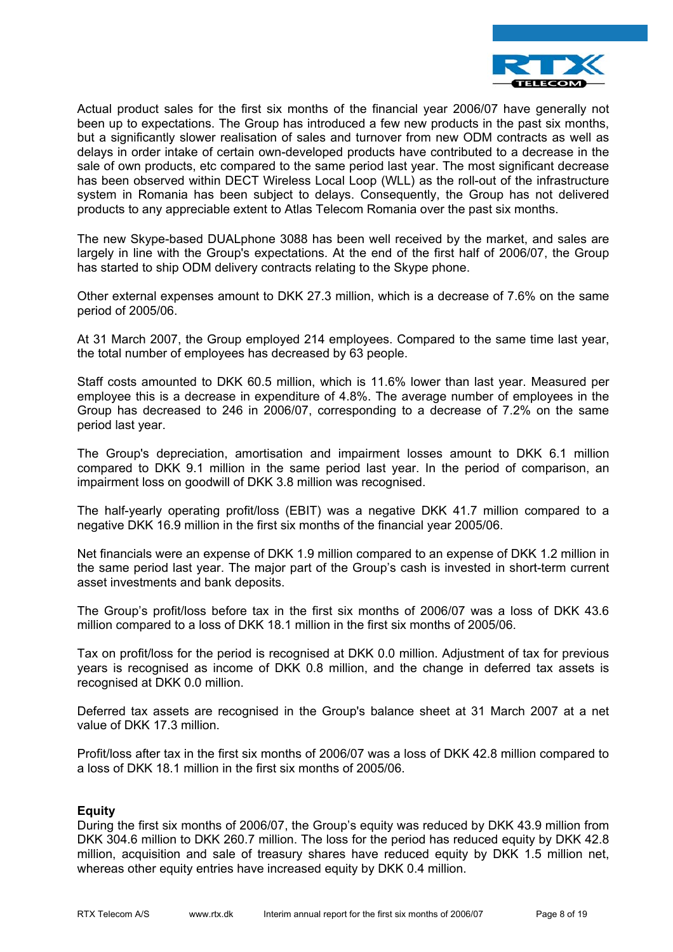

Actual product sales for the first six months of the financial year 2006/07 have generally not been up to expectations. The Group has introduced a few new products in the past six months, but a significantly slower realisation of sales and turnover from new ODM contracts as well as delays in order intake of certain own-developed products have contributed to a decrease in the sale of own products, etc compared to the same period last year. The most significant decrease has been observed within DECT Wireless Local Loop (WLL) as the roll-out of the infrastructure system in Romania has been subject to delays. Consequently, the Group has not delivered products to any appreciable extent to Atlas Telecom Romania over the past six months.

The new Skype-based DUALphone 3088 has been well received by the market, and sales are largely in line with the Group's expectations. At the end of the first half of 2006/07, the Group has started to ship ODM delivery contracts relating to the Skype phone.

Other external expenses amount to DKK 27.3 million, which is a decrease of 7.6% on the same period of 2005/06.

At 31 March 2007, the Group employed 214 employees. Compared to the same time last year, the total number of employees has decreased by 63 people.

Staff costs amounted to DKK 60.5 million, which is 11.6% lower than last year. Measured per employee this is a decrease in expenditure of 4.8%. The average number of employees in the Group has decreased to 246 in 2006/07, corresponding to a decrease of 7.2% on the same period last year.

The Group's depreciation, amortisation and impairment losses amount to DKK 6.1 million compared to DKK 9.1 million in the same period last year. In the period of comparison, an impairment loss on goodwill of DKK 3.8 million was recognised.

The half-yearly operating profit/loss (EBIT) was a negative DKK 41.7 million compared to a negative DKK 16.9 million in the first six months of the financial year 2005/06.

Net financials were an expense of DKK 1.9 million compared to an expense of DKK 1.2 million in the same period last year. The major part of the Group's cash is invested in short-term current asset investments and bank deposits.

The Group's profit/loss before tax in the first six months of 2006/07 was a loss of DKK 43.6 million compared to a loss of DKK 18.1 million in the first six months of 2005/06.

Tax on profit/loss for the period is recognised at DKK 0.0 million. Adjustment of tax for previous years is recognised as income of DKK 0.8 million, and the change in deferred tax assets is recognised at DKK 0.0 million.

Deferred tax assets are recognised in the Group's balance sheet at 31 March 2007 at a net value of DKK 17.3 million.

Profit/loss after tax in the first six months of 2006/07 was a loss of DKK 42.8 million compared to a loss of DKK 18.1 million in the first six months of 2005/06.

#### **Equity**

During the first six months of 2006/07, the Group's equity was reduced by DKK 43.9 million from DKK 304.6 million to DKK 260.7 million. The loss for the period has reduced equity by DKK 42.8 million, acquisition and sale of treasury shares have reduced equity by DKK 1.5 million net, whereas other equity entries have increased equity by DKK 0.4 million.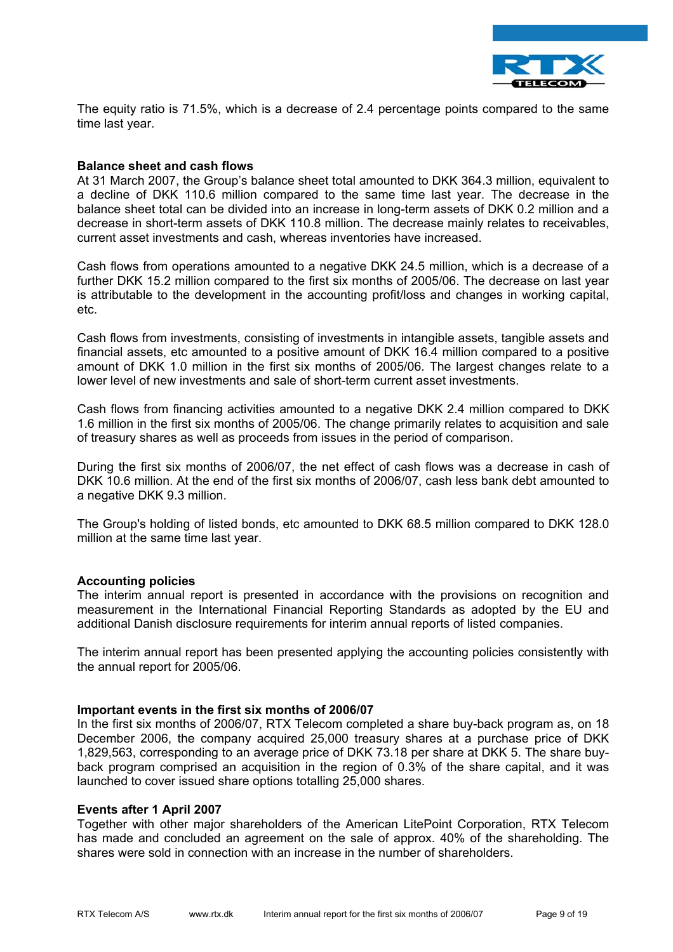

The equity ratio is 71.5%, which is a decrease of 2.4 percentage points compared to the same time last year.

#### **Balance sheet and cash flows**

At 31 March 2007, the Group's balance sheet total amounted to DKK 364.3 million, equivalent to a decline of DKK 110.6 million compared to the same time last year. The decrease in the balance sheet total can be divided into an increase in long-term assets of DKK 0.2 million and a decrease in short-term assets of DKK 110.8 million. The decrease mainly relates to receivables, current asset investments and cash, whereas inventories have increased.

Cash flows from operations amounted to a negative DKK 24.5 million, which is a decrease of a further DKK 15.2 million compared to the first six months of 2005/06. The decrease on last year is attributable to the development in the accounting profit/loss and changes in working capital, etc.

Cash flows from investments, consisting of investments in intangible assets, tangible assets and financial assets, etc amounted to a positive amount of DKK 16.4 million compared to a positive amount of DKK 1.0 million in the first six months of 2005/06. The largest changes relate to a lower level of new investments and sale of short-term current asset investments.

Cash flows from financing activities amounted to a negative DKK 2.4 million compared to DKK 1.6 million in the first six months of 2005/06. The change primarily relates to acquisition and sale of treasury shares as well as proceeds from issues in the period of comparison.

During the first six months of 2006/07, the net effect of cash flows was a decrease in cash of DKK 10.6 million. At the end of the first six months of 2006/07, cash less bank debt amounted to a negative DKK 9.3 million.

The Group's holding of listed bonds, etc amounted to DKK 68.5 million compared to DKK 128.0 million at the same time last year.

#### **Accounting policies**

The interim annual report is presented in accordance with the provisions on recognition and measurement in the International Financial Reporting Standards as adopted by the EU and additional Danish disclosure requirements for interim annual reports of listed companies.

The interim annual report has been presented applying the accounting policies consistently with the annual report for 2005/06.

#### **Important events in the first six months of 2006/07**

In the first six months of 2006/07, RTX Telecom completed a share buy-back program as, on 18 December 2006, the company acquired 25,000 treasury shares at a purchase price of DKK 1,829,563, corresponding to an average price of DKK 73.18 per share at DKK 5. The share buyback program comprised an acquisition in the region of 0.3% of the share capital, and it was launched to cover issued share options totalling 25,000 shares.

#### **Events after 1 April 2007**

Together with other major shareholders of the American LitePoint Corporation, RTX Telecom has made and concluded an agreement on the sale of approx. 40% of the shareholding. The shares were sold in connection with an increase in the number of shareholders.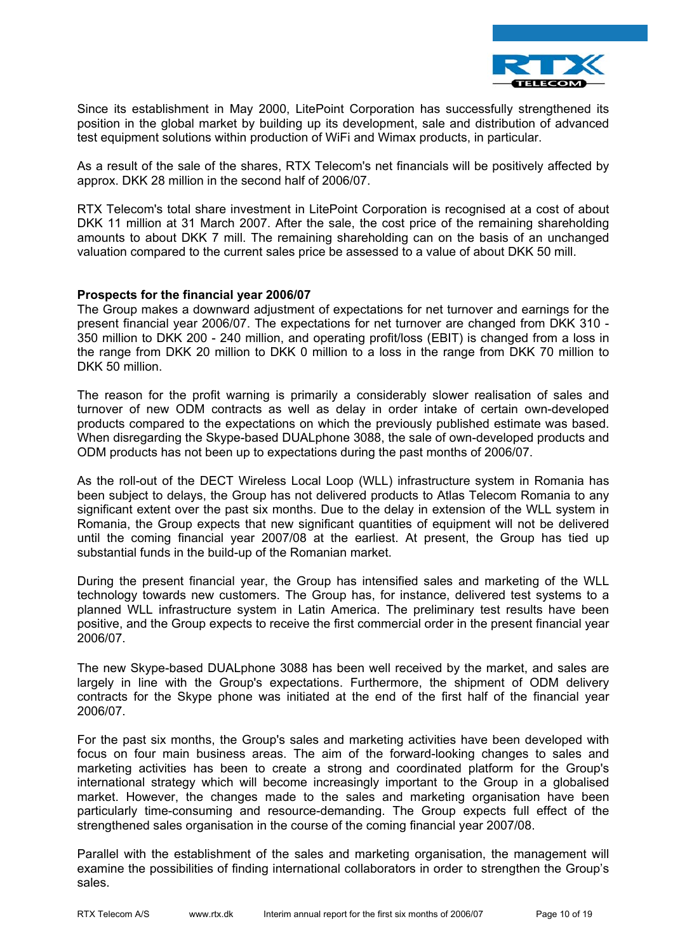

Since its establishment in May 2000, LitePoint Corporation has successfully strengthened its position in the global market by building up its development, sale and distribution of advanced test equipment solutions within production of WiFi and Wimax products, in particular.

As a result of the sale of the shares, RTX Telecom's net financials will be positively affected by approx. DKK 28 million in the second half of 2006/07.

RTX Telecom's total share investment in LitePoint Corporation is recognised at a cost of about DKK 11 million at 31 March 2007. After the sale, the cost price of the remaining shareholding amounts to about DKK 7 mill. The remaining shareholding can on the basis of an unchanged valuation compared to the current sales price be assessed to a value of about DKK 50 mill.

#### **Prospects for the financial year 2006/07**

The Group makes a downward adjustment of expectations for net turnover and earnings for the present financial year 2006/07. The expectations for net turnover are changed from DKK 310 - 350 million to DKK 200 - 240 million, and operating profit/loss (EBIT) is changed from a loss in the range from DKK 20 million to DKK 0 million to a loss in the range from DKK 70 million to DKK 50 million.

The reason for the profit warning is primarily a considerably slower realisation of sales and turnover of new ODM contracts as well as delay in order intake of certain own-developed products compared to the expectations on which the previously published estimate was based. When disregarding the Skype-based DUALphone 3088, the sale of own-developed products and ODM products has not been up to expectations during the past months of 2006/07.

As the roll-out of the DECT Wireless Local Loop (WLL) infrastructure system in Romania has been subject to delays, the Group has not delivered products to Atlas Telecom Romania to any significant extent over the past six months. Due to the delay in extension of the WLL system in Romania, the Group expects that new significant quantities of equipment will not be delivered until the coming financial year 2007/08 at the earliest. At present, the Group has tied up substantial funds in the build-up of the Romanian market.

During the present financial year, the Group has intensified sales and marketing of the WLL technology towards new customers. The Group has, for instance, delivered test systems to a planned WLL infrastructure system in Latin America. The preliminary test results have been positive, and the Group expects to receive the first commercial order in the present financial year 2006/07.

The new Skype-based DUALphone 3088 has been well received by the market, and sales are largely in line with the Group's expectations. Furthermore, the shipment of ODM delivery contracts for the Skype phone was initiated at the end of the first half of the financial year 2006/07.

For the past six months, the Group's sales and marketing activities have been developed with focus on four main business areas. The aim of the forward-looking changes to sales and marketing activities has been to create a strong and coordinated platform for the Group's international strategy which will become increasingly important to the Group in a globalised market. However, the changes made to the sales and marketing organisation have been particularly time-consuming and resource-demanding. The Group expects full effect of the strengthened sales organisation in the course of the coming financial year 2007/08.

Parallel with the establishment of the sales and marketing organisation, the management will examine the possibilities of finding international collaborators in order to strengthen the Group's sales.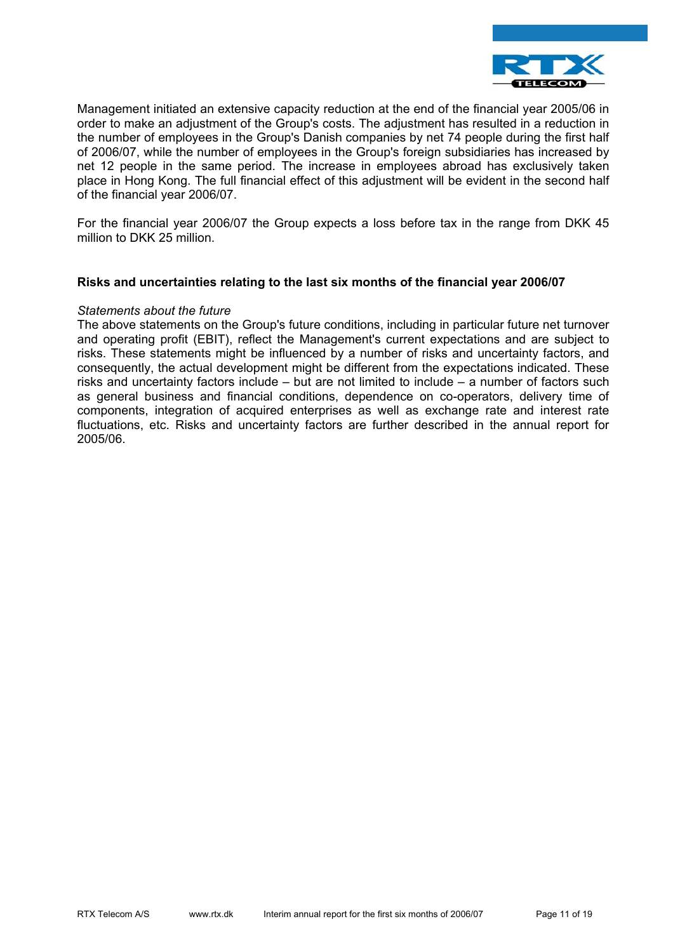

Management initiated an extensive capacity reduction at the end of the financial year 2005/06 in order to make an adjustment of the Group's costs. The adjustment has resulted in a reduction in the number of employees in the Group's Danish companies by net 74 people during the first half of 2006/07, while the number of employees in the Group's foreign subsidiaries has increased by net 12 people in the same period. The increase in employees abroad has exclusively taken place in Hong Kong. The full financial effect of this adjustment will be evident in the second half of the financial year 2006/07.

For the financial year 2006/07 the Group expects a loss before tax in the range from DKK 45 million to DKK 25 million.

#### **Risks and uncertainties relating to the last six months of the financial year 2006/07**

#### *Statements about the future*

The above statements on the Group's future conditions, including in particular future net turnover and operating profit (EBIT), reflect the Management's current expectations and are subject to risks. These statements might be influenced by a number of risks and uncertainty factors, and consequently, the actual development might be different from the expectations indicated. These risks and uncertainty factors include – but are not limited to include – a number of factors such as general business and financial conditions, dependence on co-operators, delivery time of components, integration of acquired enterprises as well as exchange rate and interest rate fluctuations, etc. Risks and uncertainty factors are further described in the annual report for 2005/06.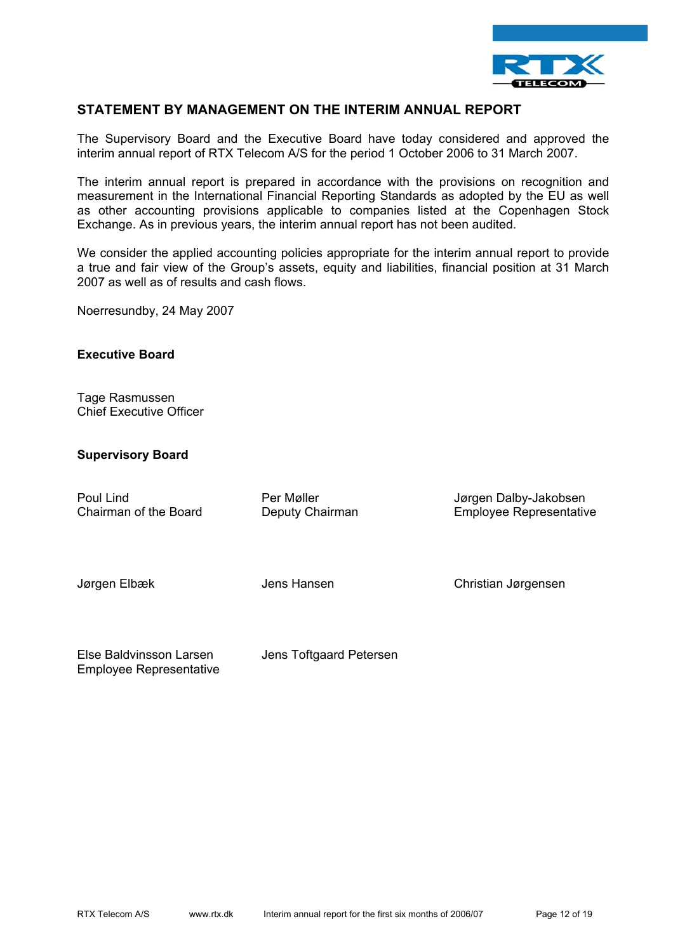

### **STATEMENT BY MANAGEMENT ON THE INTERIM ANNUAL REPORT**

The Supervisory Board and the Executive Board have today considered and approved the interim annual report of RTX Telecom A/S for the period 1 October 2006 to 31 March 2007.

The interim annual report is prepared in accordance with the provisions on recognition and measurement in the International Financial Reporting Standards as adopted by the EU as well as other accounting provisions applicable to companies listed at the Copenhagen Stock Exchange. As in previous years, the interim annual report has not been audited.

We consider the applied accounting policies appropriate for the interim annual report to provide a true and fair view of the Group's assets, equity and liabilities, financial position at 31 March 2007 as well as of results and cash flows.

Noerresundby, 24 May 2007

#### **Executive Board**

Tage Rasmussen Chief Executive Officer

#### **Supervisory Board**

| Poul Lind             | Per Møller      | Jørgen Dalby-Jakobsen          |
|-----------------------|-----------------|--------------------------------|
| Chairman of the Board | Deputy Chairman | <b>Employee Representative</b> |
| Jørgen Elbæk          | Jens Hansen     | Christian Jørgensen            |

Else Baldvinsson Larsen Jens Toftgaard Petersen Employee Representative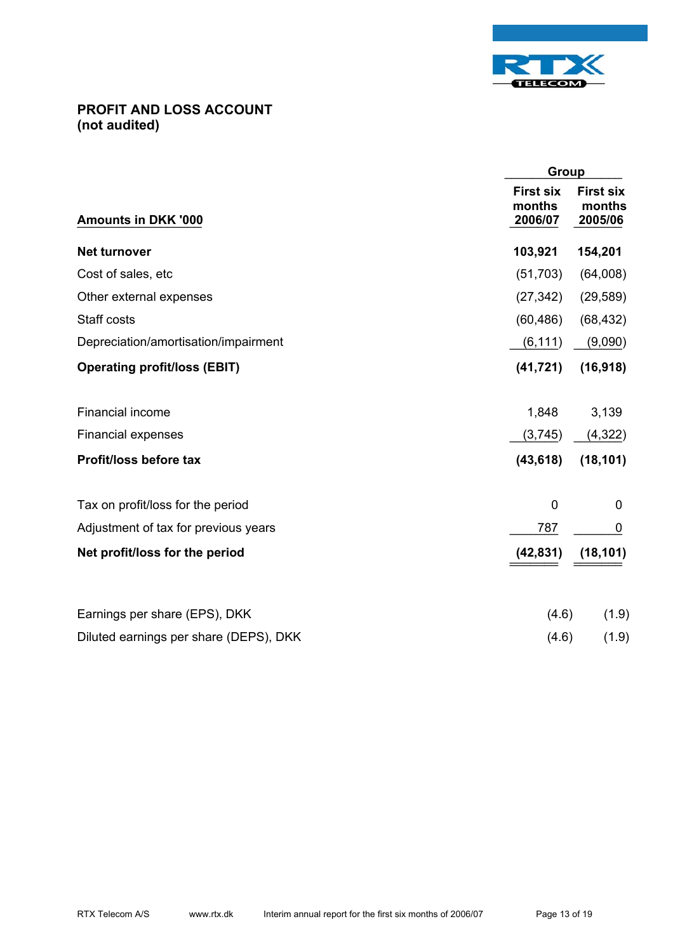

# **PROFIT AND LOSS ACCOUNT (not audited)**

|                                        | Group                                 |                                       |
|----------------------------------------|---------------------------------------|---------------------------------------|
| <b>Amounts in DKK '000</b>             | <b>First six</b><br>months<br>2006/07 | <b>First six</b><br>months<br>2005/06 |
| <b>Net turnover</b>                    | 103,921                               | 154,201                               |
| Cost of sales, etc                     | (51, 703)                             | (64,008)                              |
| Other external expenses                | (27, 342)                             | (29, 589)                             |
| Staff costs                            | (60, 486)                             | (68, 432)                             |
| Depreciation/amortisation/impairment   | (6, 111)                              | (9,090)                               |
| <b>Operating profit/loss (EBIT)</b>    | (41, 721)                             | (16, 918)                             |
| Financial income                       | 1,848                                 | 3,139                                 |
| <b>Financial expenses</b>              | (3,745)                               | (4, 322)                              |
| Profit/loss before tax                 | (43, 618)                             | (18, 101)                             |
| Tax on profit/loss for the period      | $\mathbf 0$                           | 0                                     |
| Adjustment of tax for previous years   | 787                                   | 0                                     |
| Net profit/loss for the period         | (42, 831)                             | (18, 101)                             |
| Earnings per share (EPS), DKK          | (4.6)                                 | (1.9)                                 |
| Diluted earnings per share (DEPS), DKK | (4.6)                                 | (1.9)                                 |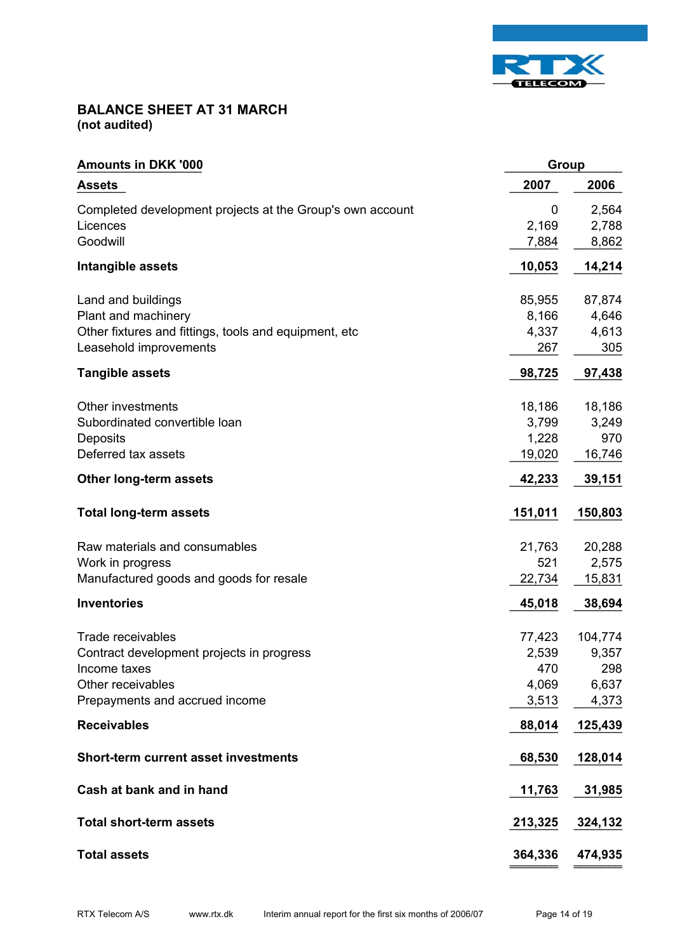

# **BALANCE SHEET AT 31 MARCH (not audited)**

| <b>Amounts in DKK '000</b>                                | <b>Group</b> |         |
|-----------------------------------------------------------|--------------|---------|
| <b>Assets</b>                                             | 2007         | 2006    |
| Completed development projects at the Group's own account | 0            | 2,564   |
| Licences                                                  | 2,169        | 2,788   |
| Goodwill                                                  | 7,884        | 8,862   |
| Intangible assets                                         | 10,053       | 14,214  |
| Land and buildings                                        | 85,955       | 87,874  |
| Plant and machinery                                       | 8,166        | 4,646   |
| Other fixtures and fittings, tools and equipment, etc     | 4,337        | 4,613   |
| Leasehold improvements                                    | 267          | 305     |
| <b>Tangible assets</b>                                    | 98,725       | 97,438  |
| Other investments                                         | 18,186       | 18,186  |
| Subordinated convertible loan                             | 3,799        | 3,249   |
| Deposits                                                  | 1,228        | 970     |
| Deferred tax assets                                       | 19,020       | 16,746  |
| Other long-term assets                                    | 42,233       | 39,151  |
| <b>Total long-term assets</b>                             | 151,011      | 150,803 |
| Raw materials and consumables                             | 21,763       | 20,288  |
| Work in progress                                          | 521          | 2,575   |
| Manufactured goods and goods for resale                   | 22,734       | 15,831  |
| <b>Inventories</b>                                        | 45,018       | 38,694  |
| Trade receivables                                         | 77,423       | 104,774 |
| Contract development projects in progress                 | 2,539        | 9,357   |
| Income taxes                                              | 470          | 298     |
| Other receivables                                         | 4,069        | 6,637   |
| Prepayments and accrued income                            | 3,513        | 4,373   |
| <b>Receivables</b>                                        | 88,014       | 125,439 |
| <b>Short-term current asset investments</b>               | 68,530       | 128,014 |
| Cash at bank and in hand                                  | 11,763       | 31,985  |
| <b>Total short-term assets</b>                            | 213,325      | 324,132 |
| <b>Total assets</b>                                       | 364,336      | 474,935 |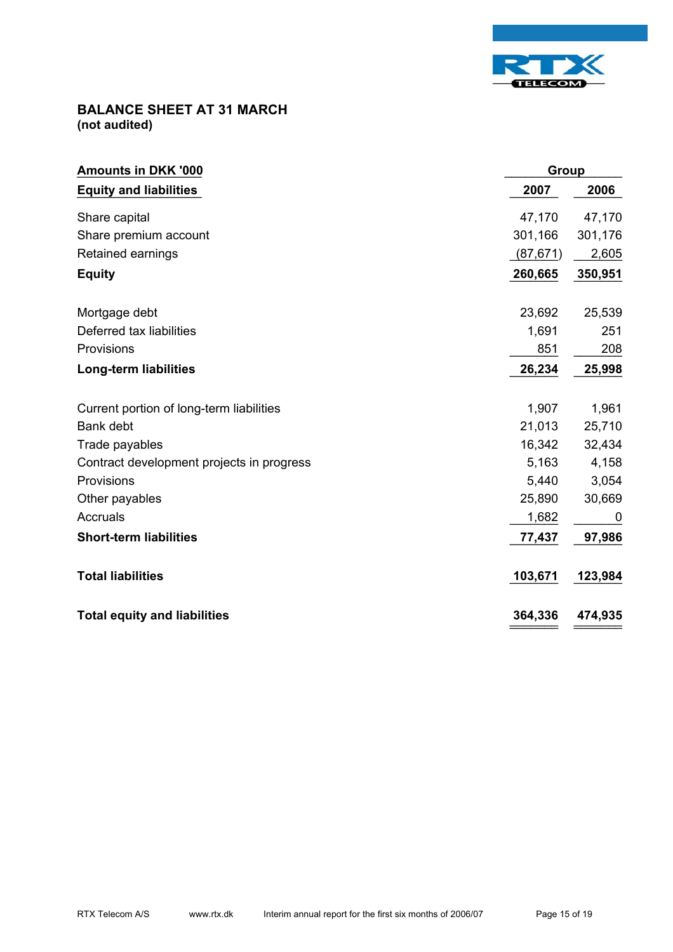

# **BALANCE SHEET AT 31 MARCH (not audited)**

| <b>Amounts in DKK '000</b>                |           | Group       |  |
|-------------------------------------------|-----------|-------------|--|
| <b>Equity and liabilities</b>             | 2007      | 2006        |  |
| Share capital                             | 47,170    | 47,170      |  |
| Share premium account                     | 301,166   | 301,176     |  |
| Retained earnings                         | (87, 671) | 2,605       |  |
| <b>Equity</b>                             | 260,665   | 350,951     |  |
| Mortgage debt                             | 23,692    | 25,539      |  |
| Deferred tax liabilities                  | 1,691     | 251         |  |
| Provisions                                | 851       | 208         |  |
| <b>Long-term liabilities</b>              | 26,234    | 25,998      |  |
| Current portion of long-term liabilities  | 1,907     | 1,961       |  |
| Bank debt                                 | 21,013    | 25,710      |  |
| Trade payables                            | 16,342    | 32,434      |  |
| Contract development projects in progress | 5,163     | 4,158       |  |
| Provisions                                | 5,440     | 3,054       |  |
| Other payables                            | 25,890    | 30,669      |  |
| Accruals                                  | 1,682     | $\mathbf 0$ |  |
| <b>Short-term liabilities</b>             | 77,437    | 97,986      |  |
| <b>Total liabilities</b>                  | 103,671   | 123,984     |  |
| <b>Total equity and liabilities</b>       | 364,336   | 474,935     |  |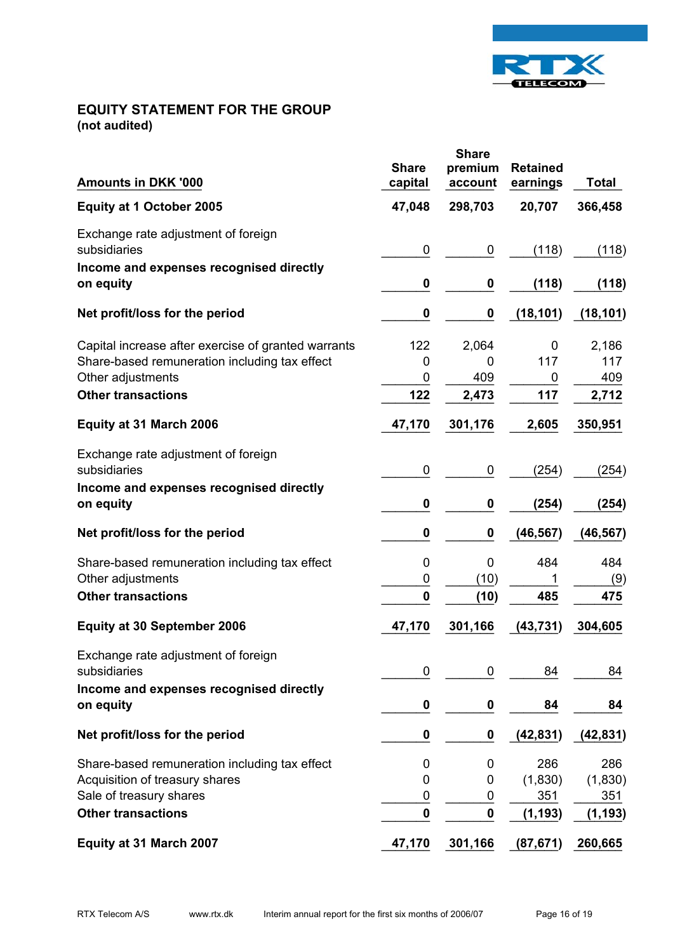

# **EQUITY STATEMENT FOR THE GROUP (not audited)**

| <b>Amounts in DKK '000</b>                                                                                                                             | <b>Share</b><br>capital | <b>Share</b><br>premium<br>account | <b>Retained</b><br>earnings       | Total                             |
|--------------------------------------------------------------------------------------------------------------------------------------------------------|-------------------------|------------------------------------|-----------------------------------|-----------------------------------|
| <b>Equity at 1 October 2005</b>                                                                                                                        | 47,048                  | 298,703                            | 20,707                            | 366,458                           |
| Exchange rate adjustment of foreign<br>subsidiaries<br>Income and expenses recognised directly                                                         | 0                       | 0                                  | (118)                             | (118)                             |
| on equity                                                                                                                                              | 0                       | 0                                  | (118)                             | (118)                             |
| Net profit/loss for the period                                                                                                                         | 0                       | 0                                  | (18, 101)                         | (18, 101)                         |
| Capital increase after exercise of granted warrants<br>Share-based remuneration including tax effect<br>Other adjustments<br><b>Other transactions</b> | 122<br>0<br>0<br>122    | 2,064<br>0<br>409                  | 0<br>117<br>0<br>117              | 2,186<br>117<br>409               |
|                                                                                                                                                        |                         | 2,473                              |                                   | 2,712                             |
| Equity at 31 March 2006                                                                                                                                | 47,170                  | 301,176                            | 2,605                             | 350,951                           |
| Exchange rate adjustment of foreign<br>subsidiaries                                                                                                    | 0                       | 0                                  | (254)                             | (254)                             |
| Income and expenses recognised directly<br>on equity                                                                                                   | 0                       | 0                                  | (254)                             | (254)                             |
| Net profit/loss for the period                                                                                                                         | 0                       | 0                                  | (46, 567)                         | (46, 567)                         |
| Share-based remuneration including tax effect<br>Other adjustments                                                                                     | 0<br>0                  | 0<br>(10)                          | 484<br>1                          | 484<br>(9)                        |
| <b>Other transactions</b>                                                                                                                              | $\bf{0}$                | (10)                               | 485                               | 475                               |
| <b>Equity at 30 September 2006</b>                                                                                                                     | 47,170                  | 301,166                            | (43, 731)                         | 304,605                           |
| Exchange rate adjustment of foreign<br>subsidiaries                                                                                                    | 0                       | $\mathbf 0$                        | 84                                | 84                                |
| Income and expenses recognised directly<br>on equity                                                                                                   | 0                       | $\pmb{0}$                          | 84                                | 84                                |
| Net profit/loss for the period                                                                                                                         | 0                       | 0                                  | (42, 831)                         | (42, 831)                         |
| Share-based remuneration including tax effect<br>Acquisition of treasury shares<br>Sale of treasury shares<br><b>Other transactions</b>                | 0<br>0<br>0<br>$\bf{0}$ | 0<br>0<br>0<br>$\mathbf 0$         | 286<br>(1,830)<br>351<br>(1, 193) | 286<br>(1,830)<br>351<br>(1, 193) |
| Equity at 31 March 2007                                                                                                                                | 47,170                  | 301,166                            | (87, 671)                         | 260,665                           |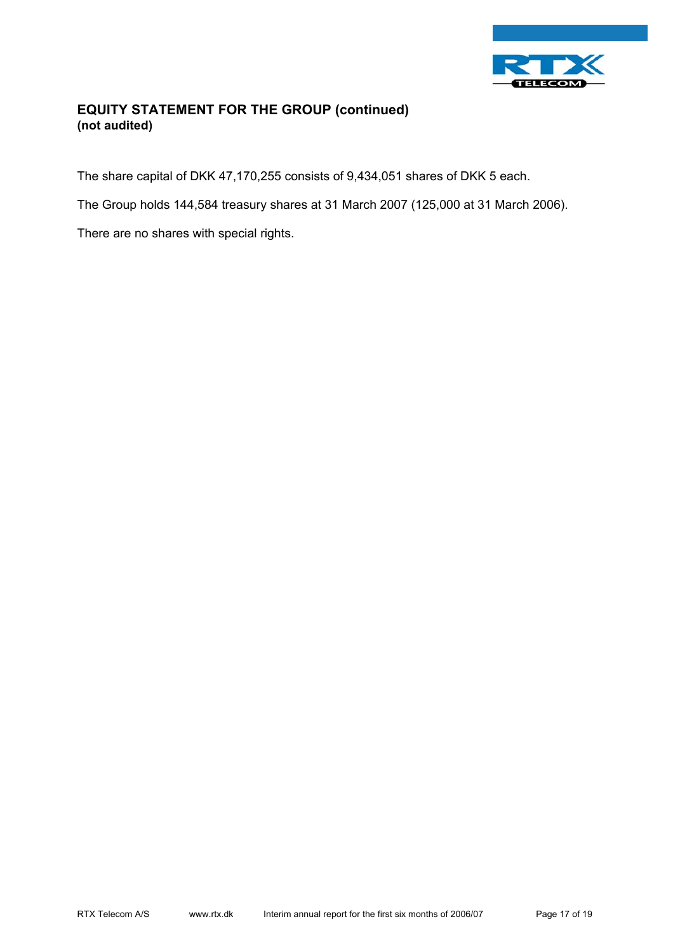

# **EQUITY STATEMENT FOR THE GROUP (continued) (not audited)**

The share capital of DKK 47,170,255 consists of 9,434,051 shares of DKK 5 each.

The Group holds 144,584 treasury shares at 31 March 2007 (125,000 at 31 March 2006).

There are no shares with special rights.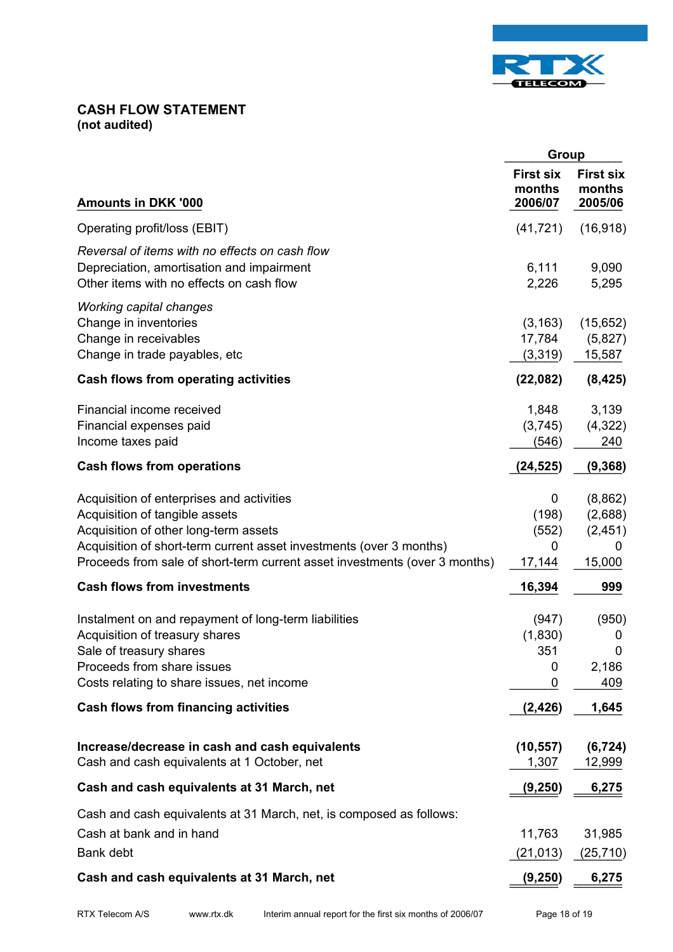

### **CASH FLOW STATEMENT (not audited)**

|                                                                                                                                                                                                                                                                           | Group                                 |                                               |
|---------------------------------------------------------------------------------------------------------------------------------------------------------------------------------------------------------------------------------------------------------------------------|---------------------------------------|-----------------------------------------------|
| <b>Amounts in DKK '000</b>                                                                                                                                                                                                                                                | <b>First six</b><br>months<br>2006/07 | <b>First six</b><br>months<br>2005/06         |
| Operating profit/loss (EBIT)                                                                                                                                                                                                                                              | (41, 721)                             | (16, 918)                                     |
| Reversal of items with no effects on cash flow<br>Depreciation, amortisation and impairment<br>Other items with no effects on cash flow                                                                                                                                   | 6,111<br>2,226                        | 9,090<br>5,295                                |
| <b>Working capital changes</b><br>Change in inventories<br>Change in receivables<br>Change in trade payables, etc                                                                                                                                                         | (3, 163)<br>17,784<br>(3,319)         | (15,652)<br>(5,827)<br>15,587                 |
| Cash flows from operating activities                                                                                                                                                                                                                                      | (22,082)                              | (8, 425)                                      |
| Financial income received<br>Financial expenses paid<br>Income taxes paid                                                                                                                                                                                                 | 1,848<br>(3,745)<br>(546)             | 3,139<br>(4,322)<br>240                       |
| <b>Cash flows from operations</b>                                                                                                                                                                                                                                         | (24, 525)                             | (9, 368)                                      |
| Acquisition of enterprises and activities<br>Acquisition of tangible assets<br>Acquisition of other long-term assets<br>Acquisition of short-term current asset investments (over 3 months)<br>Proceeds from sale of short-term current asset investments (over 3 months) | 0<br>(198)<br>(552)<br>0<br>17,144    | (8,862)<br>(2,688)<br>(2, 451)<br>0<br>15,000 |
| <b>Cash flows from investments</b>                                                                                                                                                                                                                                        | 16,394                                | 999                                           |
| Instalment on and repayment of long-term liabilities<br>Acquisition of treasury shares<br>Sale of treasury shares<br>Proceeds from share issues<br>Costs relating to share issues, net income                                                                             | (947)<br>(1,830)<br>351<br>0<br>0     | (950)<br>0<br>0<br>2,186<br>409               |
| <b>Cash flows from financing activities</b>                                                                                                                                                                                                                               | (2, 426)                              | 1,645                                         |
| Increase/decrease in cash and cash equivalents<br>Cash and cash equivalents at 1 October, net                                                                                                                                                                             | (10, 557)<br>1,307                    | (6, 724)<br>12,999                            |
| Cash and cash equivalents at 31 March, net                                                                                                                                                                                                                                | (9, 250)                              | 6,275                                         |
| Cash and cash equivalents at 31 March, net, is composed as follows:<br>Cash at bank and in hand<br><b>Bank debt</b>                                                                                                                                                       | 11,763<br>(21, 013)                   | 31,985<br>(25, 710)                           |
| Cash and cash equivalents at 31 March, net                                                                                                                                                                                                                                | (9, 250)                              | 6,275                                         |